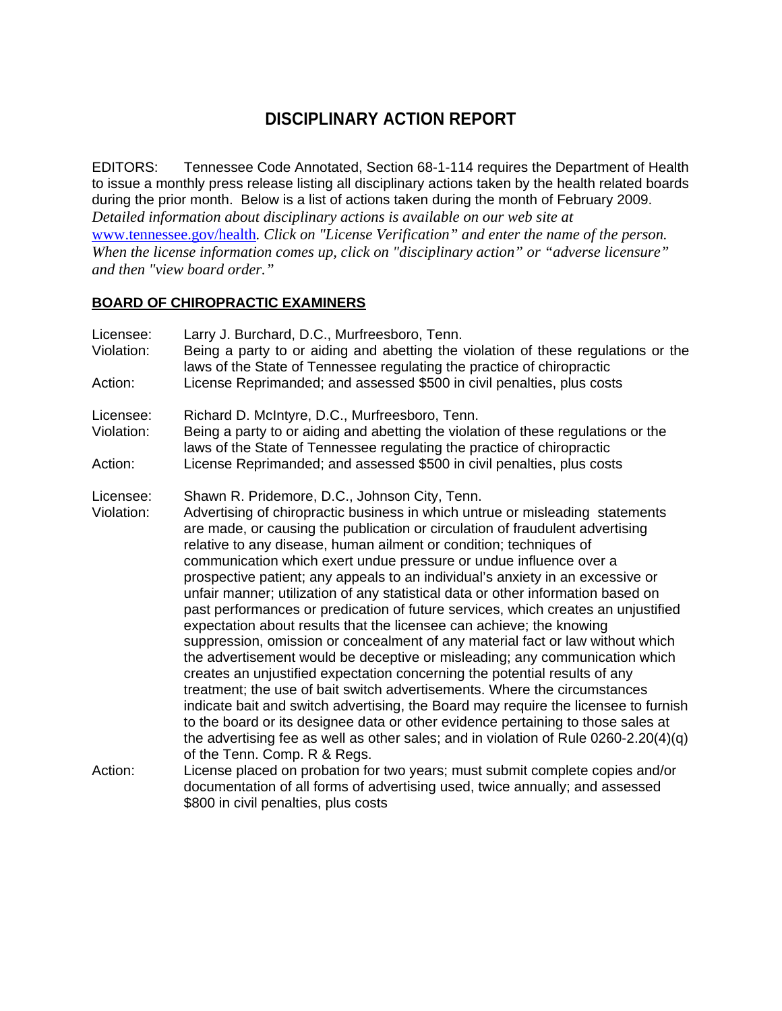# **DISCIPLINARY ACTION REPORT**

EDITORS: Tennessee Code Annotated, Section 68-1-114 requires the Department of Health to issue a monthly press release listing all disciplinary actions taken by the health related boards during the prior month. Below is a list of actions taken during the month of February 2009. *Detailed information about disciplinary actions is available on our web site at*  www.tennessee.gov/health*. Click on "License Verification" and enter the name of the person. When the license information comes up, click on "disciplinary action" or "adverse licensure" and then "view board order."* 

#### **BOARD OF CHIROPRACTIC EXAMINERS**

| Licensee:<br>Violation:<br>Action: | Larry J. Burchard, D.C., Murfreesboro, Tenn.<br>Being a party to or aiding and abetting the violation of these regulations or the<br>laws of the State of Tennessee regulating the practice of chiropractic<br>License Reprimanded; and assessed \$500 in civil penalties, plus costs                                                                                                                                                                                                                                                                                                                                                                                                                                                                                                                                                                                                                                                                                                                                                                                                                                                                                                                                                                                                                                           |
|------------------------------------|---------------------------------------------------------------------------------------------------------------------------------------------------------------------------------------------------------------------------------------------------------------------------------------------------------------------------------------------------------------------------------------------------------------------------------------------------------------------------------------------------------------------------------------------------------------------------------------------------------------------------------------------------------------------------------------------------------------------------------------------------------------------------------------------------------------------------------------------------------------------------------------------------------------------------------------------------------------------------------------------------------------------------------------------------------------------------------------------------------------------------------------------------------------------------------------------------------------------------------------------------------------------------------------------------------------------------------|
|                                    |                                                                                                                                                                                                                                                                                                                                                                                                                                                                                                                                                                                                                                                                                                                                                                                                                                                                                                                                                                                                                                                                                                                                                                                                                                                                                                                                 |
| Licensee:<br>Violation:            | Richard D. McIntyre, D.C., Murfreesboro, Tenn.<br>Being a party to or aiding and abetting the violation of these regulations or the<br>laws of the State of Tennessee regulating the practice of chiropractic                                                                                                                                                                                                                                                                                                                                                                                                                                                                                                                                                                                                                                                                                                                                                                                                                                                                                                                                                                                                                                                                                                                   |
| Action:                            | License Reprimanded; and assessed \$500 in civil penalties, plus costs                                                                                                                                                                                                                                                                                                                                                                                                                                                                                                                                                                                                                                                                                                                                                                                                                                                                                                                                                                                                                                                                                                                                                                                                                                                          |
| Licensee:<br>Violation:            | Shawn R. Pridemore, D.C., Johnson City, Tenn.<br>Advertising of chiropractic business in which untrue or misleading statements<br>are made, or causing the publication or circulation of fraudulent advertising<br>relative to any disease, human ailment or condition; techniques of<br>communication which exert undue pressure or undue influence over a<br>prospective patient; any appeals to an individual's anxiety in an excessive or<br>unfair manner; utilization of any statistical data or other information based on<br>past performances or predication of future services, which creates an unjustified<br>expectation about results that the licensee can achieve; the knowing<br>suppression, omission or concealment of any material fact or law without which<br>the advertisement would be deceptive or misleading; any communication which<br>creates an unjustified expectation concerning the potential results of any<br>treatment; the use of bait switch advertisements. Where the circumstances<br>indicate bait and switch advertising, the Board may require the licensee to furnish<br>to the board or its designee data or other evidence pertaining to those sales at<br>the advertising fee as well as other sales; and in violation of Rule $0260-2.20(4)(q)$<br>of the Tenn. Comp. R & Regs. |
| Action:                            | License placed on probation for two years; must submit complete copies and/or<br>documentation of all forms of advertising used, twice annually; and assessed<br>\$800 in civil penalties, plus costs                                                                                                                                                                                                                                                                                                                                                                                                                                                                                                                                                                                                                                                                                                                                                                                                                                                                                                                                                                                                                                                                                                                           |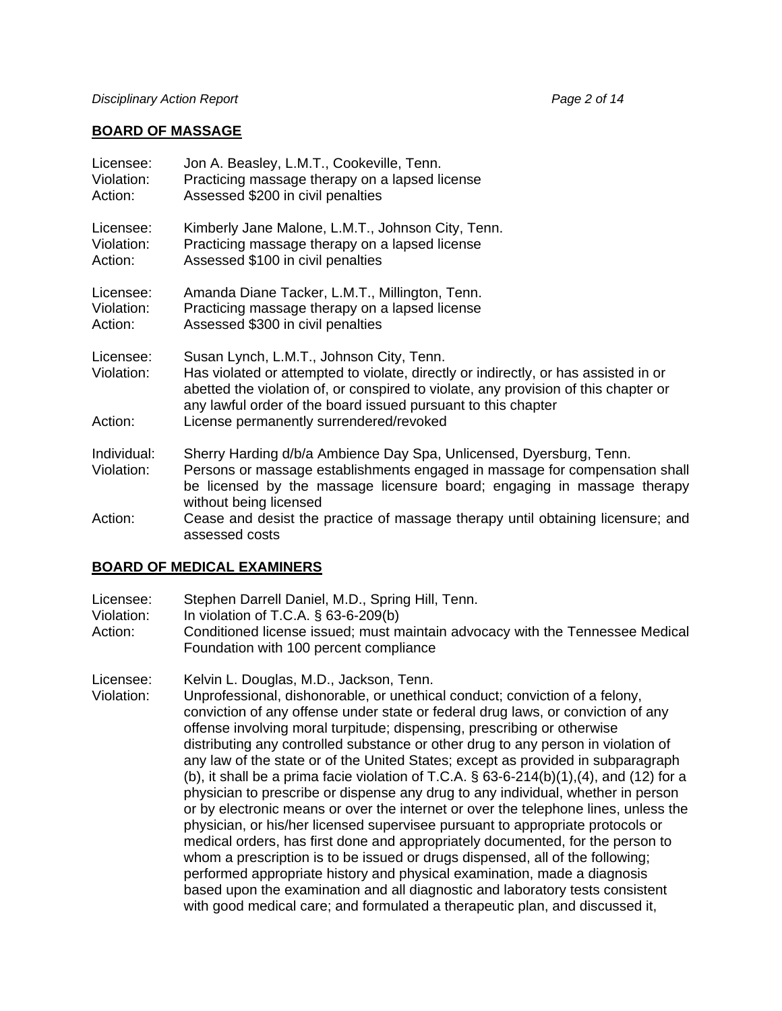#### **BOARD OF MASSAGE**

| Licensee:                          | Jon A. Beasley, L.M.T., Cookeville, Tenn.                                                                                                                                                                                                                                                                                          |
|------------------------------------|------------------------------------------------------------------------------------------------------------------------------------------------------------------------------------------------------------------------------------------------------------------------------------------------------------------------------------|
| Violation:                         | Practicing massage therapy on a lapsed license                                                                                                                                                                                                                                                                                     |
| Action:                            | Assessed \$200 in civil penalties                                                                                                                                                                                                                                                                                                  |
| Licensee:                          | Kimberly Jane Malone, L.M.T., Johnson City, Tenn.                                                                                                                                                                                                                                                                                  |
| Violation:                         | Practicing massage therapy on a lapsed license                                                                                                                                                                                                                                                                                     |
| Action:                            | Assessed \$100 in civil penalties                                                                                                                                                                                                                                                                                                  |
| Licensee:                          | Amanda Diane Tacker, L.M.T., Millington, Tenn.                                                                                                                                                                                                                                                                                     |
| Violation:                         | Practicing massage therapy on a lapsed license                                                                                                                                                                                                                                                                                     |
| Action:                            | Assessed \$300 in civil penalties                                                                                                                                                                                                                                                                                                  |
| Licensee:<br>Violation:<br>Action: | Susan Lynch, L.M.T., Johnson City, Tenn.<br>Has violated or attempted to violate, directly or indirectly, or has assisted in or<br>abetted the violation of, or conspired to violate, any provision of this chapter or<br>any lawful order of the board issued pursuant to this chapter<br>License permanently surrendered/revoked |
| Individual:<br>Violation:          | Sherry Harding d/b/a Ambience Day Spa, Unlicensed, Dyersburg, Tenn.<br>Persons or massage establishments engaged in massage for compensation shall<br>be licensed by the massage licensure board; engaging in massage therapy<br>without being licensed                                                                            |
| Action:                            | Cease and desist the practice of massage therapy until obtaining licensure; and<br>assessed costs                                                                                                                                                                                                                                  |

### **BOARD OF MEDICAL EXAMINERS**

Licensee: Stephen Darrell Daniel, M.D., Spring Hill, Tenn.

- Violation: In violation of T.C.A. § 63-6-209(b)
- Action: Conditioned license issued; must maintain advocacy with the Tennessee Medical Foundation with 100 percent compliance

Licensee: Kelvin L. Douglas, M.D., Jackson, Tenn.

Violation: Unprofessional, dishonorable, or unethical conduct; conviction of a felony, conviction of any offense under state or federal drug laws, or conviction of any offense involving moral turpitude; dispensing, prescribing or otherwise distributing any controlled substance or other drug to any person in violation of any law of the state or of the United States; except as provided in subparagraph (b), it shall be a prima facie violation of T.C.A.  $\S$  63-6-214(b)(1),(4), and (12) for a physician to prescribe or dispense any drug to any individual, whether in person or by electronic means or over the internet or over the telephone lines, unless the physician, or his/her licensed supervisee pursuant to appropriate protocols or medical orders, has first done and appropriately documented, for the person to whom a prescription is to be issued or drugs dispensed, all of the following; performed appropriate history and physical examination, made a diagnosis based upon the examination and all diagnostic and laboratory tests consistent with good medical care; and formulated a therapeutic plan, and discussed it,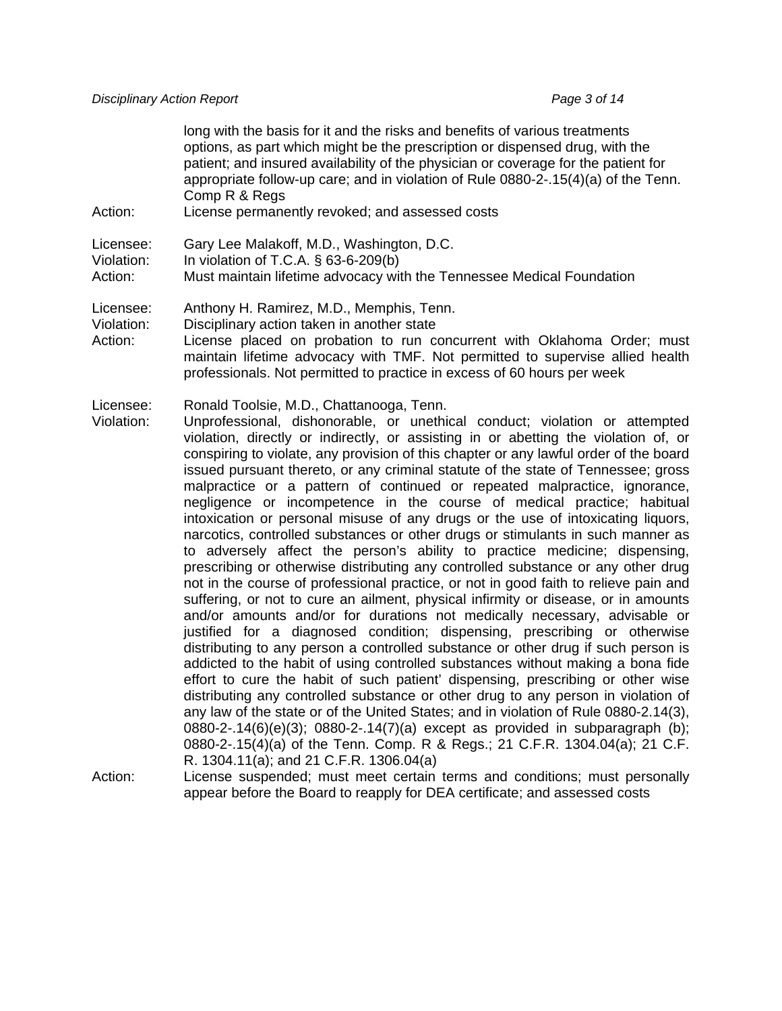long with the basis for it and the risks and benefits of various treatments options, as part which might be the prescription or dispensed drug, with the patient; and insured availability of the physician or coverage for the patient for appropriate follow-up care; and in violation of Rule 0880-2-.15(4)(a) of the Tenn. Comp R & Regs

Action: License permanently revoked; and assessed costs

- Licensee: Gary Lee Malakoff, M.D., Washington, D.C.
- Violation: In violation of T.C.A. § 63-6-209(b)

Action: Must maintain lifetime advocacy with the Tennessee Medical Foundation

Licensee: Anthony H. Ramirez, M.D., Memphis, Tenn.

- Violation: Disciplinary action taken in another state
- Action: License placed on probation to run concurrent with Oklahoma Order; must maintain lifetime advocacy with TMF. Not permitted to supervise allied health professionals. Not permitted to practice in excess of 60 hours per week

Licensee: Ronald Toolsie, M.D., Chattanooga, Tenn.

Violation: Unprofessional, dishonorable, or unethical conduct; violation or attempted violation, directly or indirectly, or assisting in or abetting the violation of, or conspiring to violate, any provision of this chapter or any lawful order of the board issued pursuant thereto, or any criminal statute of the state of Tennessee; gross malpractice or a pattern of continued or repeated malpractice, ignorance, negligence or incompetence in the course of medical practice; habitual intoxication or personal misuse of any drugs or the use of intoxicating liquors, narcotics, controlled substances or other drugs or stimulants in such manner as to adversely affect the person's ability to practice medicine; dispensing, prescribing or otherwise distributing any controlled substance or any other drug not in the course of professional practice, or not in good faith to relieve pain and suffering, or not to cure an ailment, physical infirmity or disease, or in amounts and/or amounts and/or for durations not medically necessary, advisable or justified for a diagnosed condition; dispensing, prescribing or otherwise distributing to any person a controlled substance or other drug if such person is addicted to the habit of using controlled substances without making a bona fide effort to cure the habit of such patient' dispensing, prescribing or other wise distributing any controlled substance or other drug to any person in violation of any law of the state or of the United States; and in violation of Rule 0880-2.14(3), 0880-2-.14(6)(e)(3); 0880-2-.14(7)(a) except as provided in subparagraph (b); 0880-2-.15(4)(a) of the Tenn. Comp. R & Regs.; 21 C.F.R. 1304.04(a); 21 C.F. R. 1304.11(a); and 21 C.F.R. 1306.04(a)

Action: License suspended; must meet certain terms and conditions; must personally appear before the Board to reapply for DEA certificate; and assessed costs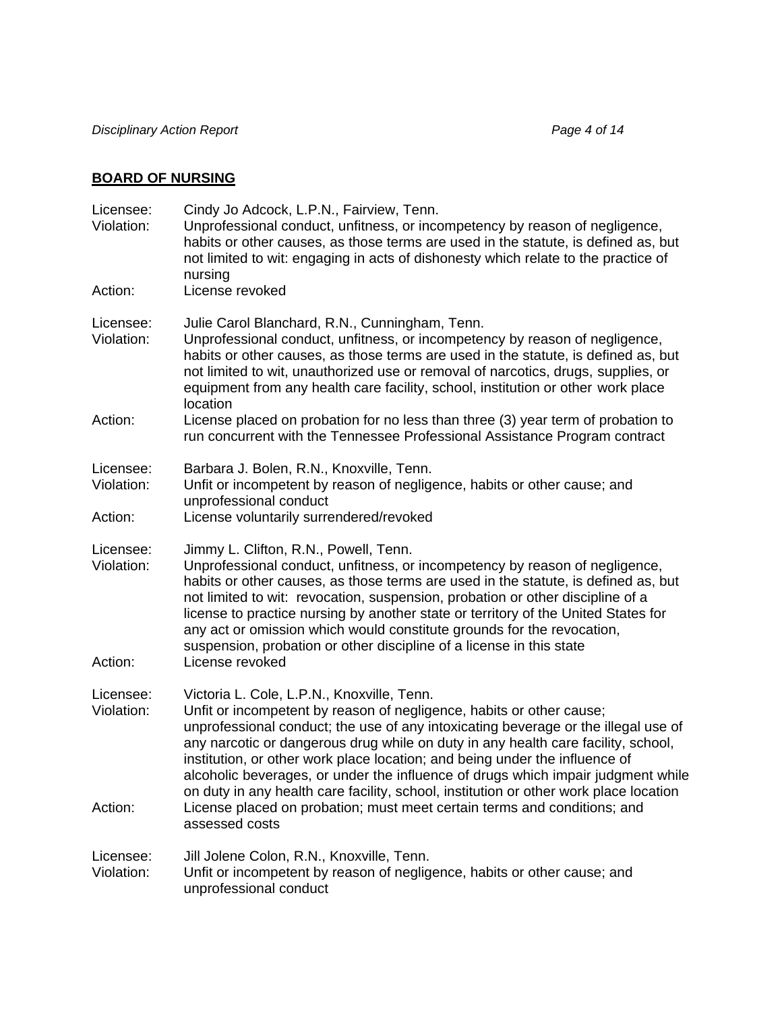# **BOARD OF NURSING**

| Licensee:<br>Violation:<br>Action: | Cindy Jo Adcock, L.P.N., Fairview, Tenn.<br>Unprofessional conduct, unfitness, or incompetency by reason of negligence,<br>habits or other causes, as those terms are used in the statute, is defined as, but<br>not limited to wit: engaging in acts of dishonesty which relate to the practice of<br>nursing<br>License revoked                                                                                                                                                                                                                         |  |
|------------------------------------|-----------------------------------------------------------------------------------------------------------------------------------------------------------------------------------------------------------------------------------------------------------------------------------------------------------------------------------------------------------------------------------------------------------------------------------------------------------------------------------------------------------------------------------------------------------|--|
|                                    |                                                                                                                                                                                                                                                                                                                                                                                                                                                                                                                                                           |  |
| Licensee:<br>Violation:            | Julie Carol Blanchard, R.N., Cunningham, Tenn.<br>Unprofessional conduct, unfitness, or incompetency by reason of negligence,<br>habits or other causes, as those terms are used in the statute, is defined as, but<br>not limited to wit, unauthorized use or removal of narcotics, drugs, supplies, or<br>equipment from any health care facility, school, institution or other work place<br>location                                                                                                                                                  |  |
| Action:                            | License placed on probation for no less than three (3) year term of probation to<br>run concurrent with the Tennessee Professional Assistance Program contract                                                                                                                                                                                                                                                                                                                                                                                            |  |
| Licensee:<br>Violation:            | Barbara J. Bolen, R.N., Knoxville, Tenn.<br>Unfit or incompetent by reason of negligence, habits or other cause; and<br>unprofessional conduct                                                                                                                                                                                                                                                                                                                                                                                                            |  |
| Action:                            | License voluntarily surrendered/revoked                                                                                                                                                                                                                                                                                                                                                                                                                                                                                                                   |  |
| Licensee:<br>Violation:<br>Action: | Jimmy L. Clifton, R.N., Powell, Tenn.<br>Unprofessional conduct, unfitness, or incompetency by reason of negligence,<br>habits or other causes, as those terms are used in the statute, is defined as, but<br>not limited to wit: revocation, suspension, probation or other discipline of a<br>license to practice nursing by another state or territory of the United States for<br>any act or omission which would constitute grounds for the revocation,<br>suspension, probation or other discipline of a license in this state                      |  |
|                                    | License revoked                                                                                                                                                                                                                                                                                                                                                                                                                                                                                                                                           |  |
| Licensee:<br>Violation:<br>Action: | Victoria L. Cole, L.P.N., Knoxville, Tenn.<br>Unfit or incompetent by reason of negligence, habits or other cause;<br>unprofessional conduct; the use of any intoxicating beverage or the illegal use of<br>any narcotic or dangerous drug while on duty in any health care facility, school,<br>institution, or other work place location; and being under the influence of<br>alcoholic beverages, or under the influence of drugs which impair judgment while<br>on duty in any health care facility, school, institution or other work place location |  |
|                                    | License placed on probation; must meet certain terms and conditions; and<br>assessed costs                                                                                                                                                                                                                                                                                                                                                                                                                                                                |  |
| Licensee:<br>Violation:            | Jill Jolene Colon, R.N., Knoxville, Tenn.<br>Unfit or incompetent by reason of negligence, habits or other cause; and<br>unprofessional conduct                                                                                                                                                                                                                                                                                                                                                                                                           |  |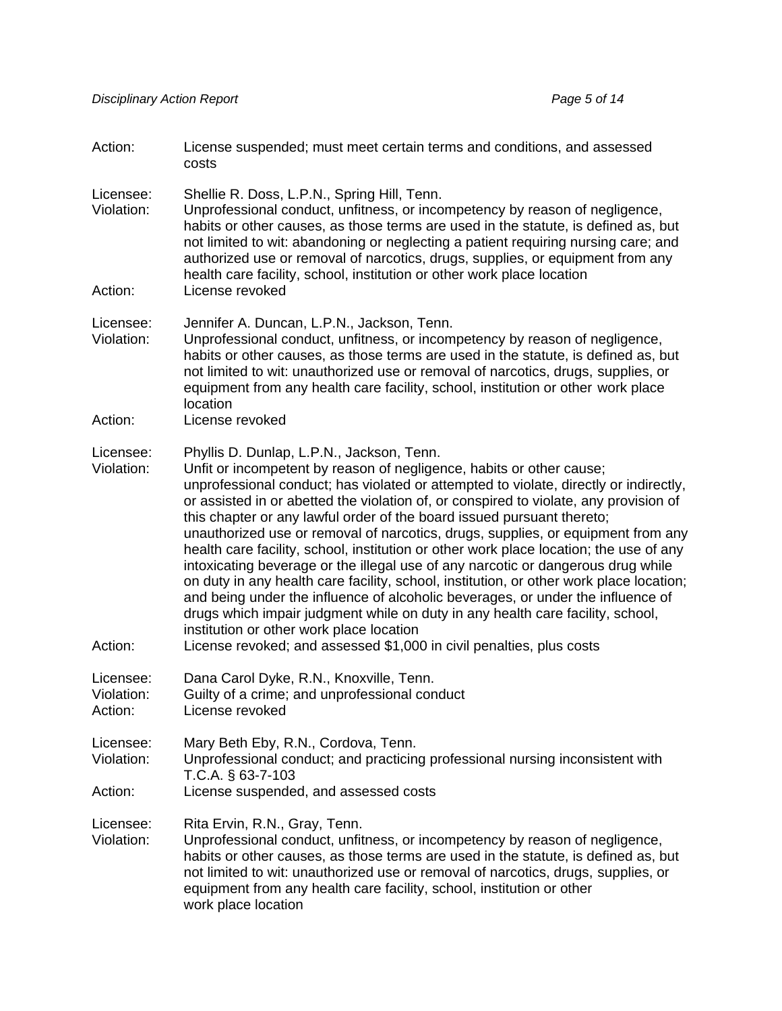| Action:                            | License suspended; must meet certain terms and conditions, and assessed<br>costs                                                                                                                                                                                                                                                                                                                                                                                                                                                                                                                                                                                                                                                                                                                                                                                                                                                                                                                                                    |
|------------------------------------|-------------------------------------------------------------------------------------------------------------------------------------------------------------------------------------------------------------------------------------------------------------------------------------------------------------------------------------------------------------------------------------------------------------------------------------------------------------------------------------------------------------------------------------------------------------------------------------------------------------------------------------------------------------------------------------------------------------------------------------------------------------------------------------------------------------------------------------------------------------------------------------------------------------------------------------------------------------------------------------------------------------------------------------|
| Licensee:<br>Violation:<br>Action: | Shellie R. Doss, L.P.N., Spring Hill, Tenn.<br>Unprofessional conduct, unfitness, or incompetency by reason of negligence,<br>habits or other causes, as those terms are used in the statute, is defined as, but<br>not limited to wit: abandoning or neglecting a patient requiring nursing care; and<br>authorized use or removal of narcotics, drugs, supplies, or equipment from any<br>health care facility, school, institution or other work place location<br>License revoked                                                                                                                                                                                                                                                                                                                                                                                                                                                                                                                                               |
| Licensee:<br>Violation:            | Jennifer A. Duncan, L.P.N., Jackson, Tenn.<br>Unprofessional conduct, unfitness, or incompetency by reason of negligence,<br>habits or other causes, as those terms are used in the statute, is defined as, but<br>not limited to wit: unauthorized use or removal of narcotics, drugs, supplies, or<br>equipment from any health care facility, school, institution or other work place<br>location                                                                                                                                                                                                                                                                                                                                                                                                                                                                                                                                                                                                                                |
| Action:                            | License revoked                                                                                                                                                                                                                                                                                                                                                                                                                                                                                                                                                                                                                                                                                                                                                                                                                                                                                                                                                                                                                     |
| Licensee:<br>Violation:<br>Action: | Phyllis D. Dunlap, L.P.N., Jackson, Tenn.<br>Unfit or incompetent by reason of negligence, habits or other cause;<br>unprofessional conduct; has violated or attempted to violate, directly or indirectly,<br>or assisted in or abetted the violation of, or conspired to violate, any provision of<br>this chapter or any lawful order of the board issued pursuant thereto;<br>unauthorized use or removal of narcotics, drugs, supplies, or equipment from any<br>health care facility, school, institution or other work place location; the use of any<br>intoxicating beverage or the illegal use of any narcotic or dangerous drug while<br>on duty in any health care facility, school, institution, or other work place location;<br>and being under the influence of alcoholic beverages, or under the influence of<br>drugs which impair judgment while on duty in any health care facility, school,<br>institution or other work place location<br>License revoked; and assessed \$1,000 in civil penalties, plus costs |
| Licensee:<br>Violation:<br>Action: | Dana Carol Dyke, R.N., Knoxville, Tenn.<br>Guilty of a crime; and unprofessional conduct<br>License revoked                                                                                                                                                                                                                                                                                                                                                                                                                                                                                                                                                                                                                                                                                                                                                                                                                                                                                                                         |
| Licensee:<br>Violation:            | Mary Beth Eby, R.N., Cordova, Tenn.<br>Unprofessional conduct; and practicing professional nursing inconsistent with<br>T.C.A. § 63-7-103                                                                                                                                                                                                                                                                                                                                                                                                                                                                                                                                                                                                                                                                                                                                                                                                                                                                                           |
| Action:                            | License suspended, and assessed costs                                                                                                                                                                                                                                                                                                                                                                                                                                                                                                                                                                                                                                                                                                                                                                                                                                                                                                                                                                                               |
| Licensee:<br>Violation:            | Rita Ervin, R.N., Gray, Tenn.<br>Unprofessional conduct, unfitness, or incompetency by reason of negligence,<br>habits or other causes, as those terms are used in the statute, is defined as, but<br>not limited to wit: unauthorized use or removal of narcotics, drugs, supplies, or<br>equipment from any health care facility, school, institution or other<br>work place location                                                                                                                                                                                                                                                                                                                                                                                                                                                                                                                                                                                                                                             |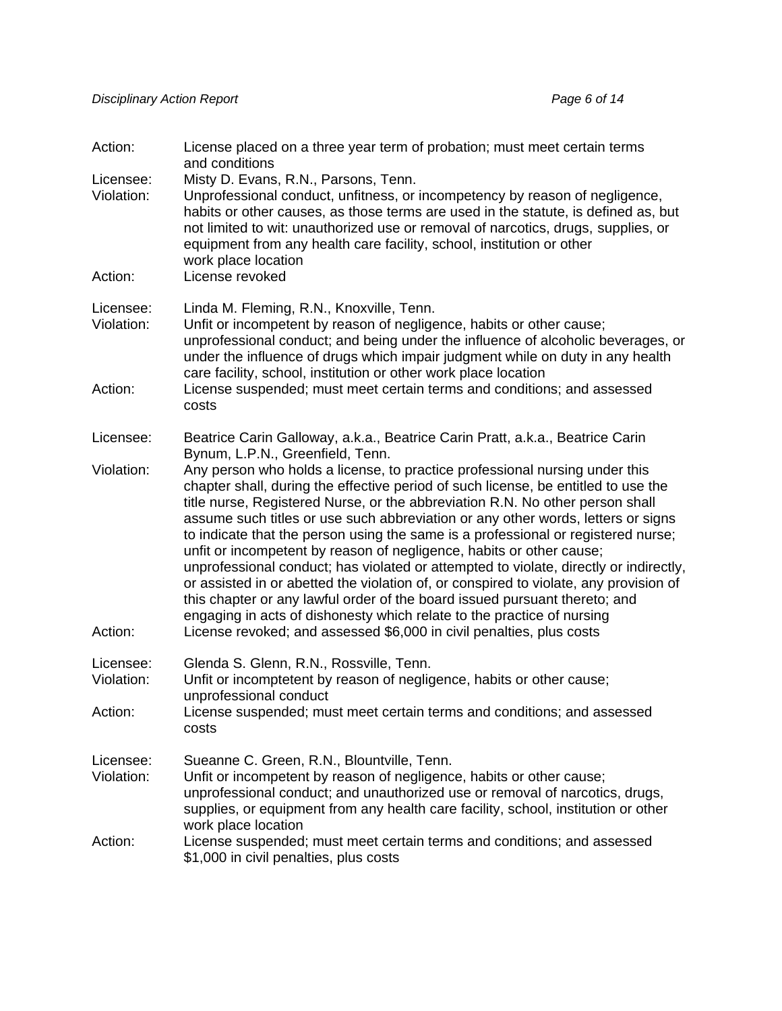| Action:<br>Licensee:    | License placed on a three year term of probation; must meet certain terms<br>and conditions<br>Misty D. Evans, R.N., Parsons, Tenn.                                                                                                                                                                                                                                                                                                                                                                                                                                                                                                                                                                                                                                                                                                           |
|-------------------------|-----------------------------------------------------------------------------------------------------------------------------------------------------------------------------------------------------------------------------------------------------------------------------------------------------------------------------------------------------------------------------------------------------------------------------------------------------------------------------------------------------------------------------------------------------------------------------------------------------------------------------------------------------------------------------------------------------------------------------------------------------------------------------------------------------------------------------------------------|
| Violation:              | Unprofessional conduct, unfitness, or incompetency by reason of negligence,<br>habits or other causes, as those terms are used in the statute, is defined as, but<br>not limited to wit: unauthorized use or removal of narcotics, drugs, supplies, or<br>equipment from any health care facility, school, institution or other<br>work place location                                                                                                                                                                                                                                                                                                                                                                                                                                                                                        |
| Action:                 | License revoked                                                                                                                                                                                                                                                                                                                                                                                                                                                                                                                                                                                                                                                                                                                                                                                                                               |
| Licensee:<br>Violation: | Linda M. Fleming, R.N., Knoxville, Tenn.<br>Unfit or incompetent by reason of negligence, habits or other cause;<br>unprofessional conduct; and being under the influence of alcoholic beverages, or<br>under the influence of drugs which impair judgment while on duty in any health<br>care facility, school, institution or other work place location                                                                                                                                                                                                                                                                                                                                                                                                                                                                                     |
| Action:                 | License suspended; must meet certain terms and conditions; and assessed<br>costs                                                                                                                                                                                                                                                                                                                                                                                                                                                                                                                                                                                                                                                                                                                                                              |
| Licensee:               | Beatrice Carin Galloway, a.k.a., Beatrice Carin Pratt, a.k.a., Beatrice Carin<br>Bynum, L.P.N., Greenfield, Tenn.                                                                                                                                                                                                                                                                                                                                                                                                                                                                                                                                                                                                                                                                                                                             |
| Violation:              | Any person who holds a license, to practice professional nursing under this<br>chapter shall, during the effective period of such license, be entitled to use the<br>title nurse, Registered Nurse, or the abbreviation R.N. No other person shall<br>assume such titles or use such abbreviation or any other words, letters or signs<br>to indicate that the person using the same is a professional or registered nurse;<br>unfit or incompetent by reason of negligence, habits or other cause;<br>unprofessional conduct; has violated or attempted to violate, directly or indirectly,<br>or assisted in or abetted the violation of, or conspired to violate, any provision of<br>this chapter or any lawful order of the board issued pursuant thereto; and<br>engaging in acts of dishonesty which relate to the practice of nursing |
| Action:                 | License revoked; and assessed \$6,000 in civil penalties, plus costs                                                                                                                                                                                                                                                                                                                                                                                                                                                                                                                                                                                                                                                                                                                                                                          |
| Licensee:<br>Violation: | Glenda S. Glenn, R.N., Rossville, Tenn.<br>Unfit or incomptetent by reason of negligence, habits or other cause;<br>unprofessional conduct                                                                                                                                                                                                                                                                                                                                                                                                                                                                                                                                                                                                                                                                                                    |
| Action:                 | License suspended; must meet certain terms and conditions; and assessed<br>costs                                                                                                                                                                                                                                                                                                                                                                                                                                                                                                                                                                                                                                                                                                                                                              |
| Licensee:<br>Violation: | Sueanne C. Green, R.N., Blountville, Tenn.<br>Unfit or incompetent by reason of negligence, habits or other cause;<br>unprofessional conduct; and unauthorized use or removal of narcotics, drugs,<br>supplies, or equipment from any health care facility, school, institution or other<br>work place location                                                                                                                                                                                                                                                                                                                                                                                                                                                                                                                               |
| Action:                 | License suspended; must meet certain terms and conditions; and assessed<br>\$1,000 in civil penalties, plus costs                                                                                                                                                                                                                                                                                                                                                                                                                                                                                                                                                                                                                                                                                                                             |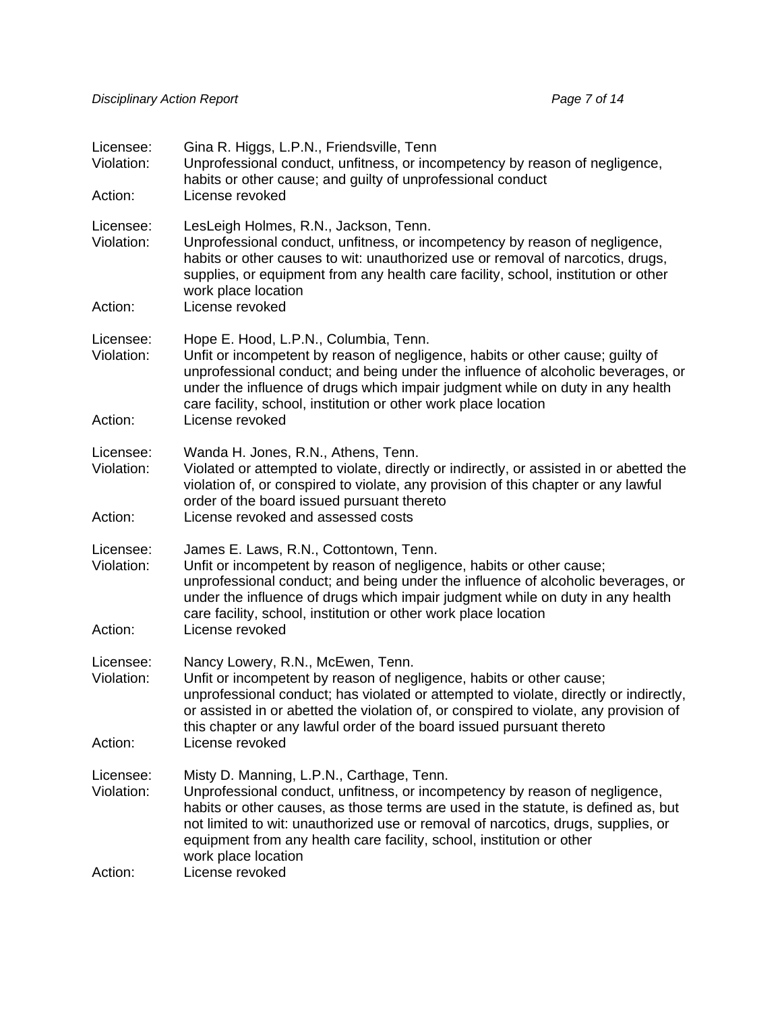| Licensee:<br>Violation:<br>Action: | Gina R. Higgs, L.P.N., Friendsville, Tenn<br>Unprofessional conduct, unfitness, or incompetency by reason of negligence,<br>habits or other cause; and guilty of unprofessional conduct<br>License revoked                                                                                                                                                                                          |  |
|------------------------------------|-----------------------------------------------------------------------------------------------------------------------------------------------------------------------------------------------------------------------------------------------------------------------------------------------------------------------------------------------------------------------------------------------------|--|
| Licensee:<br>Violation:            | LesLeigh Holmes, R.N., Jackson, Tenn.<br>Unprofessional conduct, unfitness, or incompetency by reason of negligence,<br>habits or other causes to wit: unauthorized use or removal of narcotics, drugs,<br>supplies, or equipment from any health care facility, school, institution or other<br>work place location                                                                                |  |
| Action:                            | License revoked                                                                                                                                                                                                                                                                                                                                                                                     |  |
| Licensee:<br>Violation:            | Hope E. Hood, L.P.N., Columbia, Tenn.<br>Unfit or incompetent by reason of negligence, habits or other cause; guilty of<br>unprofessional conduct; and being under the influence of alcoholic beverages, or<br>under the influence of drugs which impair judgment while on duty in any health<br>care facility, school, institution or other work place location                                    |  |
| Action:                            | License revoked                                                                                                                                                                                                                                                                                                                                                                                     |  |
| Licensee:<br>Violation:            | Wanda H. Jones, R.N., Athens, Tenn.<br>Violated or attempted to violate, directly or indirectly, or assisted in or abetted the<br>violation of, or conspired to violate, any provision of this chapter or any lawful<br>order of the board issued pursuant thereto                                                                                                                                  |  |
| Action:                            | License revoked and assessed costs                                                                                                                                                                                                                                                                                                                                                                  |  |
| Licensee:<br>Violation:            | James E. Laws, R.N., Cottontown, Tenn.<br>Unfit or incompetent by reason of negligence, habits or other cause;<br>unprofessional conduct; and being under the influence of alcoholic beverages, or<br>under the influence of drugs which impair judgment while on duty in any health<br>care facility, school, institution or other work place location                                             |  |
| Action:                            | License revoked                                                                                                                                                                                                                                                                                                                                                                                     |  |
| Licensee:<br>Violation:            | Nancy Lowery, R.N., McEwen, Tenn.<br>Unfit or incompetent by reason of negligence, habits or other cause;<br>unprofessional conduct; has violated or attempted to violate, directly or indirectly,<br>or assisted in or abetted the violation of, or conspired to violate, any provision of<br>this chapter or any lawful order of the board issued pursuant thereto                                |  |
| Action:                            | License revoked                                                                                                                                                                                                                                                                                                                                                                                     |  |
| Licensee:<br>Violation:            | Misty D. Manning, L.P.N., Carthage, Tenn.<br>Unprofessional conduct, unfitness, or incompetency by reason of negligence,<br>habits or other causes, as those terms are used in the statute, is defined as, but<br>not limited to wit: unauthorized use or removal of narcotics, drugs, supplies, or<br>equipment from any health care facility, school, institution or other<br>work place location |  |
| Action:                            | License revoked                                                                                                                                                                                                                                                                                                                                                                                     |  |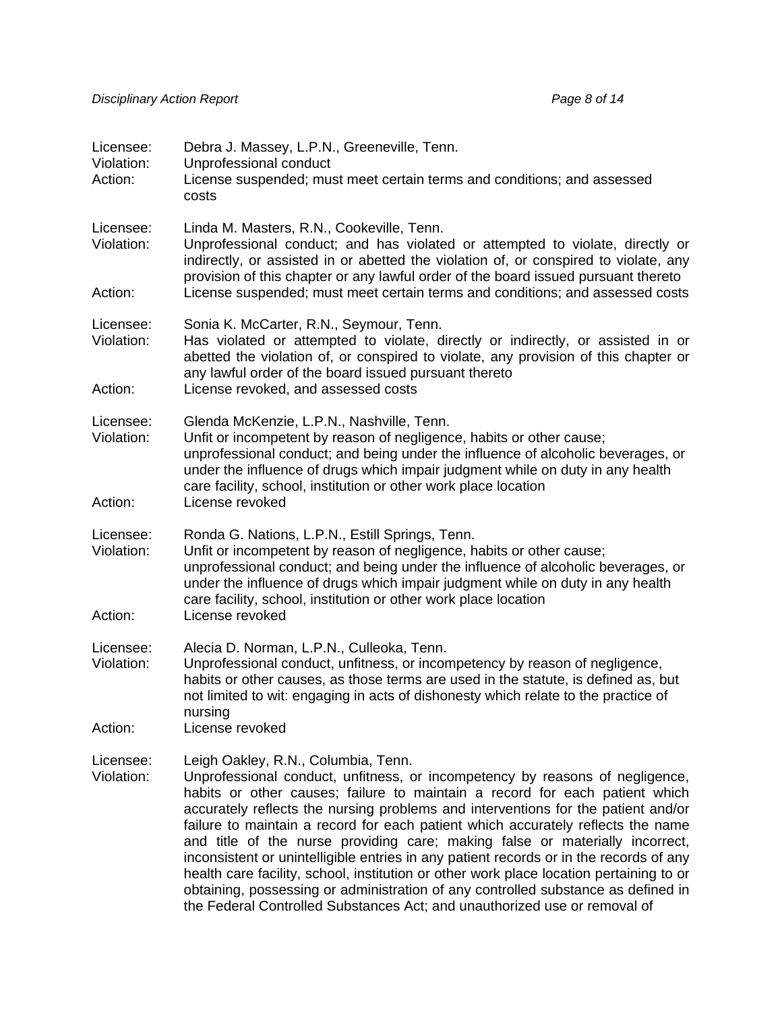| Licensee:<br>Violation:<br>Action: | Debra J. Massey, L.P.N., Greeneville, Tenn.<br>Unprofessional conduct<br>License suspended; must meet certain terms and conditions; and assessed<br>costs                                                                                                                                                                                                                                                                                                                                                                                                                                                                                                                                                                                                                                                          |
|------------------------------------|--------------------------------------------------------------------------------------------------------------------------------------------------------------------------------------------------------------------------------------------------------------------------------------------------------------------------------------------------------------------------------------------------------------------------------------------------------------------------------------------------------------------------------------------------------------------------------------------------------------------------------------------------------------------------------------------------------------------------------------------------------------------------------------------------------------------|
| Licensee:<br>Violation:            | Linda M. Masters, R.N., Cookeville, Tenn.<br>Unprofessional conduct; and has violated or attempted to violate, directly or<br>indirectly, or assisted in or abetted the violation of, or conspired to violate, any<br>provision of this chapter or any lawful order of the board issued pursuant thereto                                                                                                                                                                                                                                                                                                                                                                                                                                                                                                           |
| Action:                            | License suspended; must meet certain terms and conditions; and assessed costs                                                                                                                                                                                                                                                                                                                                                                                                                                                                                                                                                                                                                                                                                                                                      |
| Licensee:<br>Violation:            | Sonia K. McCarter, R.N., Seymour, Tenn.<br>Has violated or attempted to violate, directly or indirectly, or assisted in or<br>abetted the violation of, or conspired to violate, any provision of this chapter or<br>any lawful order of the board issued pursuant thereto                                                                                                                                                                                                                                                                                                                                                                                                                                                                                                                                         |
| Action:                            | License revoked, and assessed costs                                                                                                                                                                                                                                                                                                                                                                                                                                                                                                                                                                                                                                                                                                                                                                                |
| Licensee:<br>Violation:            | Glenda McKenzie, L.P.N., Nashville, Tenn.<br>Unfit or incompetent by reason of negligence, habits or other cause;<br>unprofessional conduct; and being under the influence of alcoholic beverages, or<br>under the influence of drugs which impair judgment while on duty in any health<br>care facility, school, institution or other work place location                                                                                                                                                                                                                                                                                                                                                                                                                                                         |
| Action:                            | License revoked                                                                                                                                                                                                                                                                                                                                                                                                                                                                                                                                                                                                                                                                                                                                                                                                    |
| Licensee:<br>Violation:<br>Action: | Ronda G. Nations, L.P.N., Estill Springs, Tenn.<br>Unfit or incompetent by reason of negligence, habits or other cause;<br>unprofessional conduct; and being under the influence of alcoholic beverages, or<br>under the influence of drugs which impair judgment while on duty in any health<br>care facility, school, institution or other work place location<br>License revoked                                                                                                                                                                                                                                                                                                                                                                                                                                |
|                                    |                                                                                                                                                                                                                                                                                                                                                                                                                                                                                                                                                                                                                                                                                                                                                                                                                    |
| Licensee:<br>Violation:            | Alecia D. Norman, L.P.N., Culleoka, Tenn.<br>Unprofessional conduct, unfitness, or incompetency by reason of negligence,<br>habits or other causes, as those terms are used in the statute, is defined as, but<br>not limited to wit: engaging in acts of dishonesty which relate to the practice of<br>nursing                                                                                                                                                                                                                                                                                                                                                                                                                                                                                                    |
| Action:                            | License revoked                                                                                                                                                                                                                                                                                                                                                                                                                                                                                                                                                                                                                                                                                                                                                                                                    |
| Licensee:<br>Violation:            | Leigh Oakley, R.N., Columbia, Tenn.<br>Unprofessional conduct, unfitness, or incompetency by reasons of negligence,<br>habits or other causes; failure to maintain a record for each patient which<br>accurately reflects the nursing problems and interventions for the patient and/or<br>failure to maintain a record for each patient which accurately reflects the name<br>and title of the nurse providing care; making false or materially incorrect,<br>inconsistent or unintelligible entries in any patient records or in the records of any<br>health care facility, school, institution or other work place location pertaining to or<br>obtaining, possessing or administration of any controlled substance as defined in<br>the Federal Controlled Substances Act; and unauthorized use or removal of |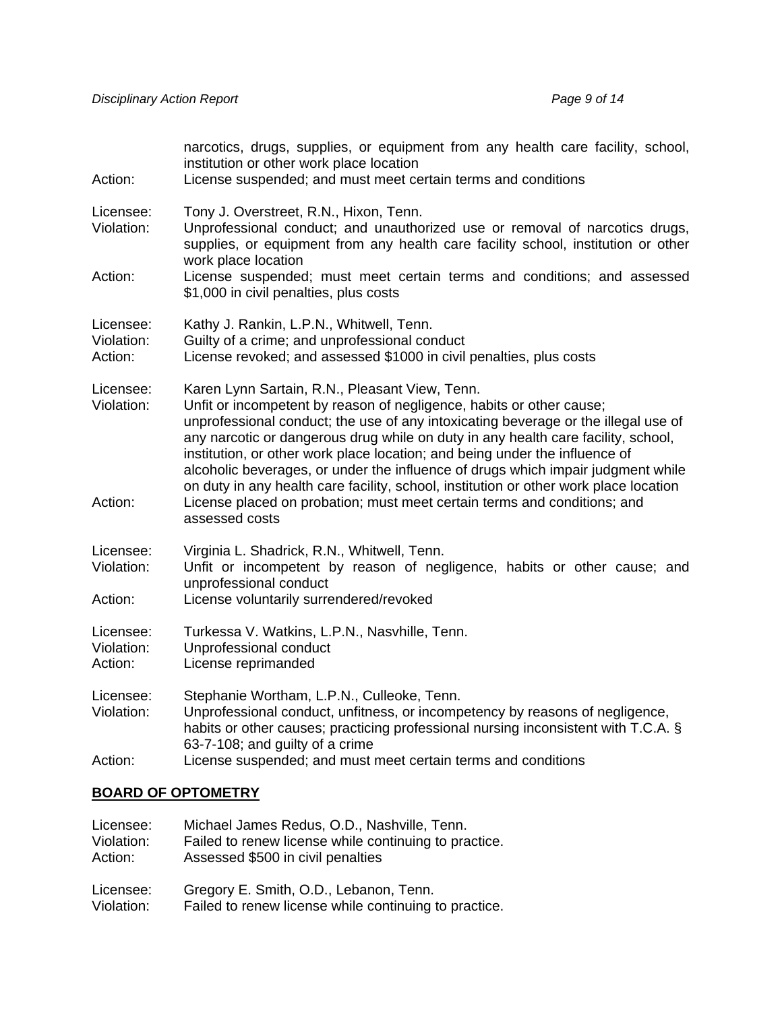| Action:                            | narcotics, drugs, supplies, or equipment from any health care facility, school,<br>institution or other work place location<br>License suspended; and must meet certain terms and conditions                                                                                                                                                                                                                                                                                                                                                                                                                                                                |  |
|------------------------------------|-------------------------------------------------------------------------------------------------------------------------------------------------------------------------------------------------------------------------------------------------------------------------------------------------------------------------------------------------------------------------------------------------------------------------------------------------------------------------------------------------------------------------------------------------------------------------------------------------------------------------------------------------------------|--|
| Licensee:<br>Violation:            | Tony J. Overstreet, R.N., Hixon, Tenn.<br>Unprofessional conduct; and unauthorized use or removal of narcotics drugs,<br>supplies, or equipment from any health care facility school, institution or other<br>work place location                                                                                                                                                                                                                                                                                                                                                                                                                           |  |
| Action:                            | License suspended; must meet certain terms and conditions; and assessed<br>\$1,000 in civil penalties, plus costs                                                                                                                                                                                                                                                                                                                                                                                                                                                                                                                                           |  |
| Licensee:<br>Violation:<br>Action: | Kathy J. Rankin, L.P.N., Whitwell, Tenn.<br>Guilty of a crime; and unprofessional conduct<br>License revoked; and assessed \$1000 in civil penalties, plus costs                                                                                                                                                                                                                                                                                                                                                                                                                                                                                            |  |
| Licensee:<br>Violation:<br>Action: | Karen Lynn Sartain, R.N., Pleasant View, Tenn.<br>Unfit or incompetent by reason of negligence, habits or other cause;<br>unprofessional conduct; the use of any intoxicating beverage or the illegal use of<br>any narcotic or dangerous drug while on duty in any health care facility, school,<br>institution, or other work place location; and being under the influence of<br>alcoholic beverages, or under the influence of drugs which impair judgment while<br>on duty in any health care facility, school, institution or other work place location<br>License placed on probation; must meet certain terms and conditions; and<br>assessed costs |  |
| Licensee:<br>Violation:<br>Action: | Virginia L. Shadrick, R.N., Whitwell, Tenn.<br>Unfit or incompetent by reason of negligence, habits or other cause; and<br>unprofessional conduct<br>License voluntarily surrendered/revoked                                                                                                                                                                                                                                                                                                                                                                                                                                                                |  |
| Licensee:<br>Violation:<br>Action: | Turkessa V. Watkins, L.P.N., Nasvhille, Tenn.<br>Unprofessional conduct<br>License reprimanded                                                                                                                                                                                                                                                                                                                                                                                                                                                                                                                                                              |  |
| Licensee:<br>Violation:<br>Action: | Stephanie Wortham, L.P.N., Culleoke, Tenn.<br>Unprofessional conduct, unfitness, or incompetency by reasons of negligence,<br>habits or other causes; practicing professional nursing inconsistent with T.C.A. §<br>63-7-108; and guilty of a crime<br>License suspended; and must meet certain terms and conditions                                                                                                                                                                                                                                                                                                                                        |  |
|                                    |                                                                                                                                                                                                                                                                                                                                                                                                                                                                                                                                                                                                                                                             |  |

## **BOARD OF OPTOMETRY**

| Licensee:  | Michael James Redus, O.D., Nashville, Tenn.           |
|------------|-------------------------------------------------------|
| Violation: | Failed to renew license while continuing to practice. |
| Action:    | Assessed \$500 in civil penalties                     |
| Licensee:  | Gregory E. Smith, O.D., Lebanon, Tenn.                |
| Violation: | Failed to renew license while continuing to practice. |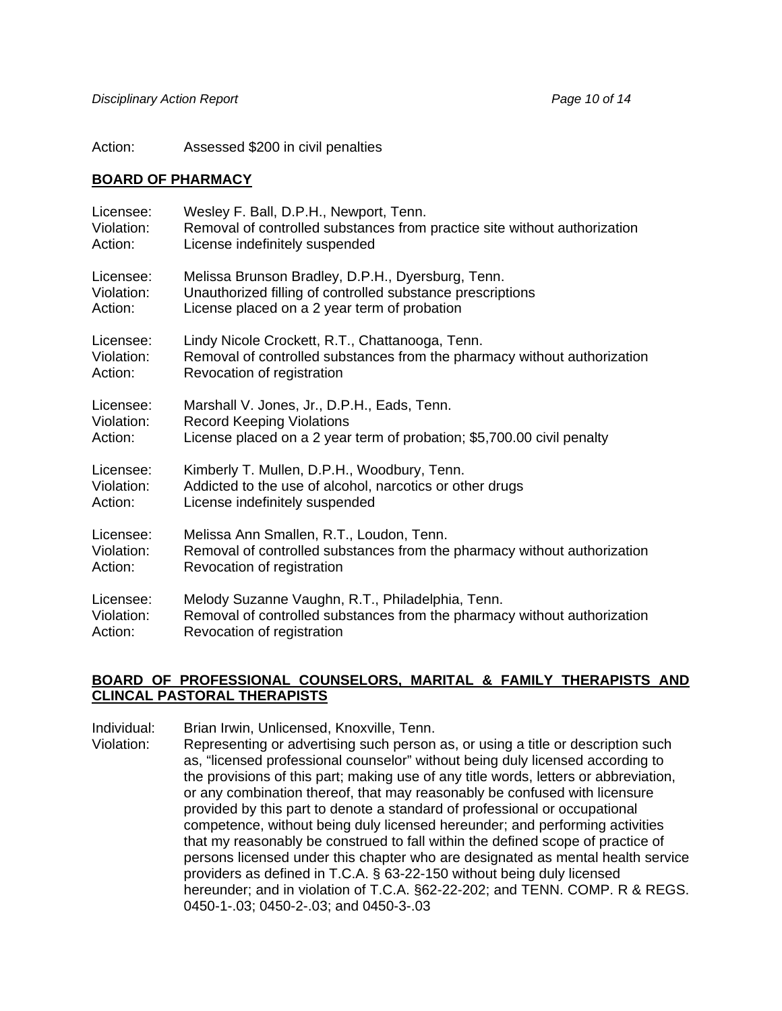Action: Assessed \$200 in civil penalties

### **BOARD OF PHARMACY**

| Licensee:  | Wesley F. Ball, D.P.H., Newport, Tenn.                                    |
|------------|---------------------------------------------------------------------------|
| Violation: | Removal of controlled substances from practice site without authorization |
| Action:    | License indefinitely suspended                                            |
| Licensee:  | Melissa Brunson Bradley, D.P.H., Dyersburg, Tenn.                         |
| Violation: | Unauthorized filling of controlled substance prescriptions                |
| Action:    | License placed on a 2 year term of probation                              |
| Licensee:  | Lindy Nicole Crockett, R.T., Chattanooga, Tenn.                           |
| Violation: | Removal of controlled substances from the pharmacy without authorization  |
| Action:    | Revocation of registration                                                |
| Licensee:  | Marshall V. Jones, Jr., D.P.H., Eads, Tenn.                               |
| Violation: | <b>Record Keeping Violations</b>                                          |
| Action:    | License placed on a 2 year term of probation; \$5,700.00 civil penalty    |
| Licensee:  | Kimberly T. Mullen, D.P.H., Woodbury, Tenn.                               |
| Violation: | Addicted to the use of alcohol, narcotics or other drugs                  |
| Action:    | License indefinitely suspended                                            |
| Licensee:  | Melissa Ann Smallen, R.T., Loudon, Tenn.                                  |
| Violation: | Removal of controlled substances from the pharmacy without authorization  |
| Action:    | Revocation of registration                                                |
| Licensee:  | Melody Suzanne Vaughn, R.T., Philadelphia, Tenn.                          |
| Violation: | Removal of controlled substances from the pharmacy without authorization  |
| Action:    | Revocation of registration                                                |

### **BOARD OF PROFESSIONAL COUNSELORS, MARITAL & FAMILY THERAPISTS AND CLINCAL PASTORAL THERAPISTS**

Individual: Brian Irwin, Unlicensed, Knoxville, Tenn.

Violation: Representing or advertising such person as, or using a title or description such as, "licensed professional counselor" without being duly licensed according to the provisions of this part; making use of any title words, letters or abbreviation, or any combination thereof, that may reasonably be confused with licensure provided by this part to denote a standard of professional or occupational competence, without being duly licensed hereunder; and performing activities that my reasonably be construed to fall within the defined scope of practice of persons licensed under this chapter who are designated as mental health service providers as defined in T.C.A. § 63-22-150 without being duly licensed hereunder; and in violation of T.C.A. §62-22-202; and TENN. COMP. R & REGS. 0450-1-.03; 0450-2-.03; and 0450-3-.03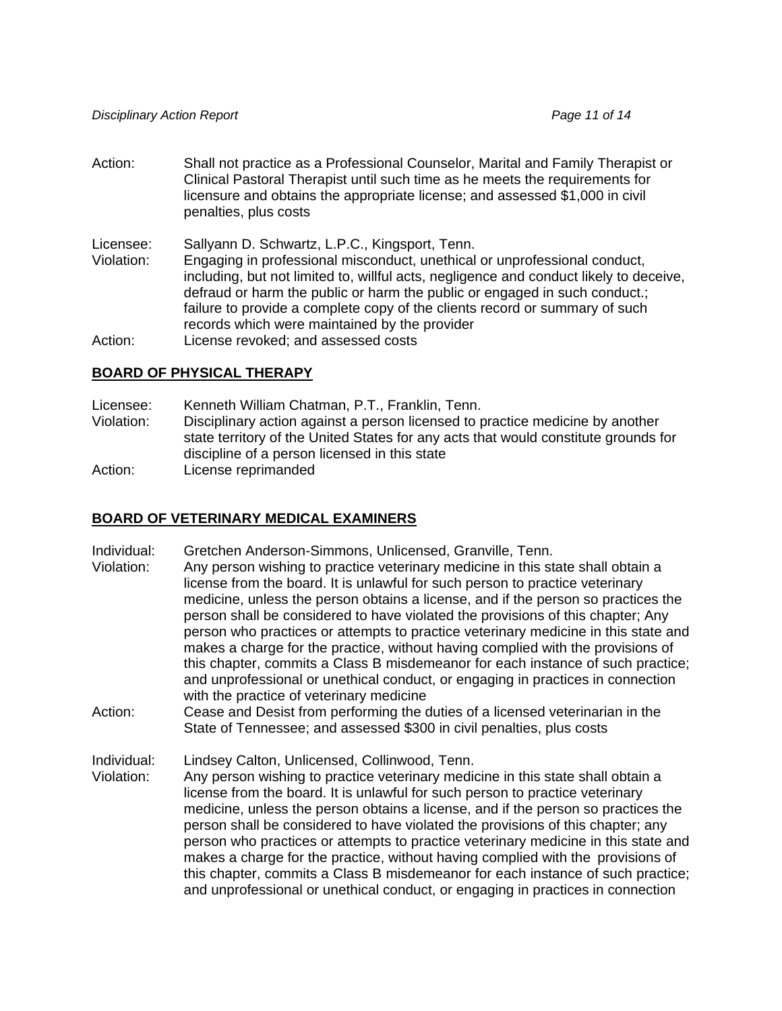Action: Shall not practice as a Professional Counselor, Marital and Family Therapist or Clinical Pastoral Therapist until such time as he meets the requirements for licensure and obtains the appropriate license; and assessed \$1,000 in civil penalties, plus costs

Licensee: Sallyann D. Schwartz, L.P.C., Kingsport, Tenn.

Violation: Engaging in professional misconduct, unethical or unprofessional conduct, including, but not limited to, willful acts, negligence and conduct likely to deceive, defraud or harm the public or harm the public or engaged in such conduct.; failure to provide a complete copy of the clients record or summary of such records which were maintained by the provider

Action: License revoked; and assessed costs

#### **BOARD OF PHYSICAL THERAPY**

Licensee: Kenneth William Chatman, P.T., Franklin, Tenn.

- Violation: Disciplinary action against a person licensed to practice medicine by another state territory of the United States for any acts that would constitute grounds for discipline of a person licensed in this state
- Action: License reprimanded

### **BOARD OF VETERINARY MEDICAL EXAMINERS**

- Individual: Gretchen Anderson-Simmons, Unlicensed, Granville, Tenn.
- Violation: Any person wishing to practice veterinary medicine in this state shall obtain a license from the board. It is unlawful for such person to practice veterinary medicine, unless the person obtains a license, and if the person so practices the person shall be considered to have violated the provisions of this chapter; Any person who practices or attempts to practice veterinary medicine in this state and makes a charge for the practice, without having complied with the provisions of this chapter, commits a Class B misdemeanor for each instance of such practice; and unprofessional or unethical conduct, or engaging in practices in connection with the practice of veterinary medicine
- Action: Cease and Desist from performing the duties of a licensed veterinarian in the State of Tennessee; and assessed \$300 in civil penalties, plus costs

Individual: Lindsey Calton, Unlicensed, Collinwood, Tenn.

Violation: Any person wishing to practice veterinary medicine in this state shall obtain a license from the board. It is unlawful for such person to practice veterinary medicine, unless the person obtains a license, and if the person so practices the person shall be considered to have violated the provisions of this chapter; any person who practices or attempts to practice veterinary medicine in this state and makes a charge for the practice, without having complied with the provisions of this chapter, commits a Class B misdemeanor for each instance of such practice; and unprofessional or unethical conduct, or engaging in practices in connection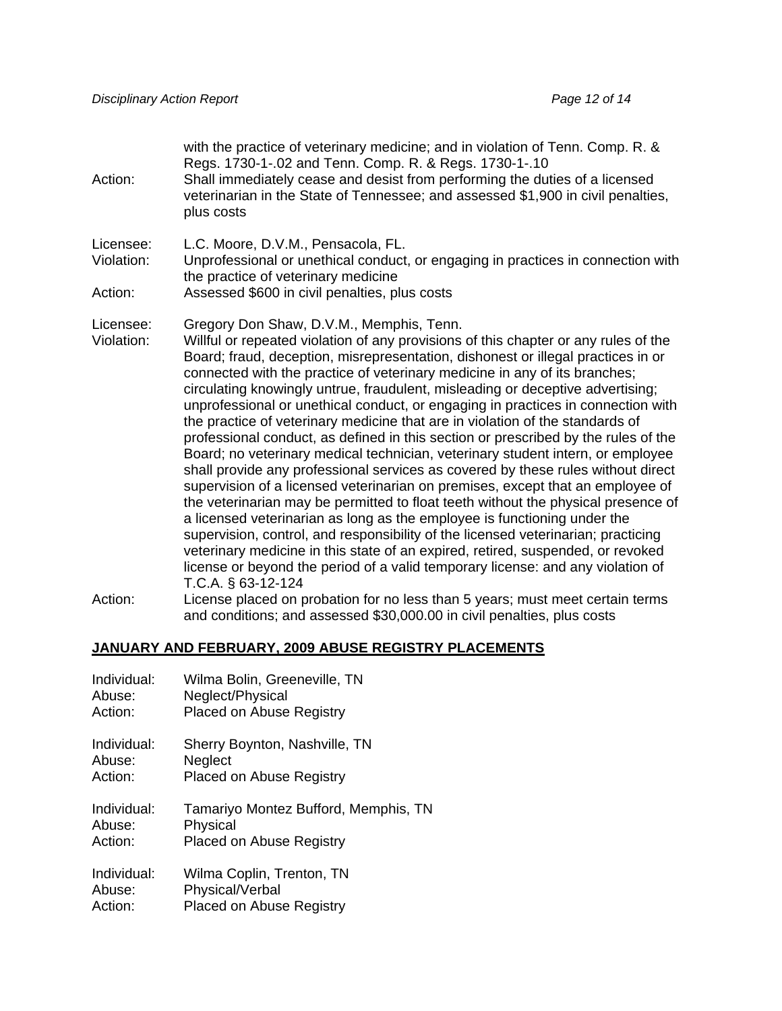with the practice of veterinary medicine; and in violation of Tenn. Comp. R. & Regs. 1730-1-.02 and Tenn. Comp. R. & Regs. 1730-1-.10 Action: Shall immediately cease and desist from performing the duties of a licensed veterinarian in the State of Tennessee; and assessed \$1,900 in civil penalties, plus costs Licensee: L.C. Moore, D.V.M., Pensacola, FL. Violation: Unprofessional or unethical conduct, or engaging in practices in connection with the practice of veterinary medicine Action: Assessed \$600 in civil penalties, plus costs Licensee: Gregory Don Shaw, D.V.M., Memphis, Tenn. Violation: Willful or repeated violation of any provisions of this chapter or any rules of the Board; fraud, deception, misrepresentation, dishonest or illegal practices in or connected with the practice of veterinary medicine in any of its branches; circulating knowingly untrue, fraudulent, misleading or deceptive advertising; unprofessional or unethical conduct, or engaging in practices in connection with the practice of veterinary medicine that are in violation of the standards of professional conduct, as defined in this section or prescribed by the rules of the Board; no veterinary medical technician, veterinary student intern, or employee shall provide any professional services as covered by these rules without direct supervision of a licensed veterinarian on premises, except that an employee of the veterinarian may be permitted to float teeth without the physical presence of a licensed veterinarian as long as the employee is functioning under the supervision, control, and responsibility of the licensed veterinarian; practicing veterinary medicine in this state of an expired, retired, suspended, or revoked license or beyond the period of a valid temporary license: and any violation of T.C.A. § 63-12-124 Action: License placed on probation for no less than 5 years; must meet certain terms and conditions; and assessed \$30,000.00 in civil penalties, plus costs

#### **JANUARY AND FEBRUARY, 2009 ABUSE REGISTRY PLACEMENTS**

| Individual: | Wilma Bolin, Greeneville, TN         |
|-------------|--------------------------------------|
| Abuse:      | Neglect/Physical                     |
| Action:     | <b>Placed on Abuse Registry</b>      |
| Individual: | Sherry Boynton, Nashville, TN        |
| Abuse:      | <b>Neglect</b>                       |
| Action:     | <b>Placed on Abuse Registry</b>      |
| Individual: | Tamariyo Montez Bufford, Memphis, TN |
| Abuse:      | Physical                             |
| Action:     | <b>Placed on Abuse Registry</b>      |
| Individual: | Wilma Coplin, Trenton, TN            |
| Abuse:      | Physical/Verbal                      |
| Action:     | <b>Placed on Abuse Registry</b>      |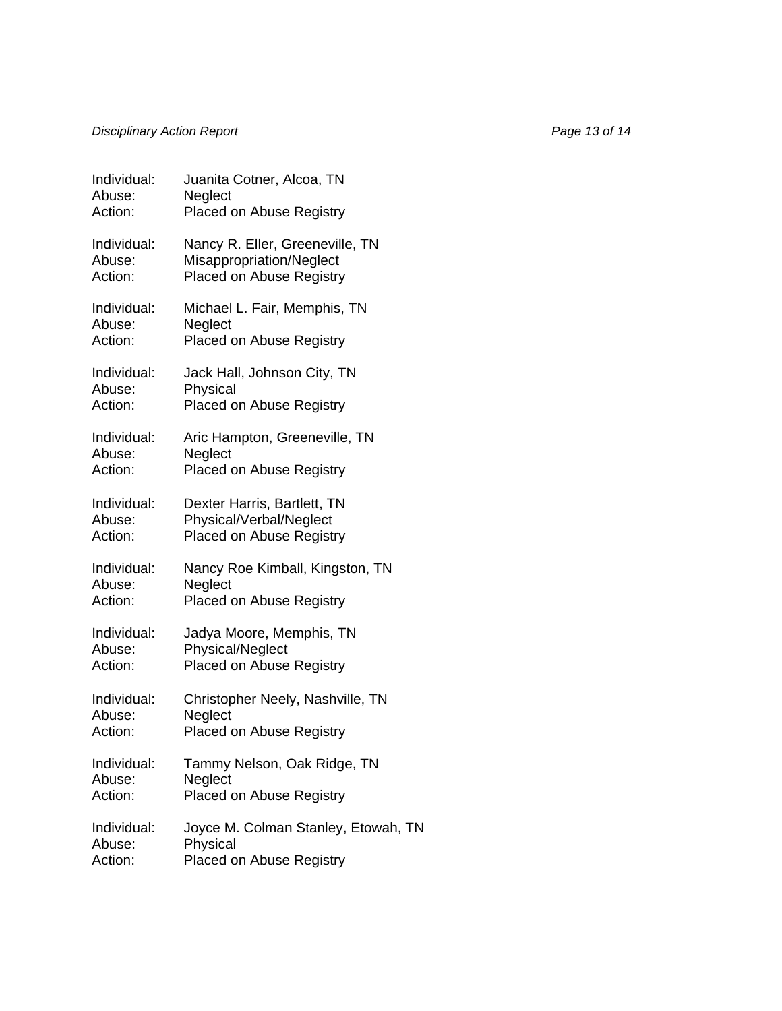# *Disciplinary Action Report* **Page 13 of 14** *Page 13 of 14 Page 13 of 14*

| Individual: | Juanita Cotner, Alcoa, TN           |
|-------------|-------------------------------------|
| Abuse:      | Neglect                             |
| Action:     | Placed on Abuse Registry            |
| Individual: | Nancy R. Eller, Greeneville, TN     |
| Abuse:      | Misappropriation/Neglect            |
| Action:     | Placed on Abuse Registry            |
| Individual: | Michael L. Fair, Memphis, TN        |
| Abuse:      | Neglect                             |
| Action:     | <b>Placed on Abuse Registry</b>     |
| Individual: | Jack Hall, Johnson City, TN         |
| Abuse:      | Physical                            |
| Action:     | Placed on Abuse Registry            |
| Individual: | Aric Hampton, Greeneville, TN       |
| Abuse:      | Neglect                             |
| Action:     | Placed on Abuse Registry            |
| Individual: | Dexter Harris, Bartlett, TN         |
| Abuse:      | Physical/Verbal/Neglect             |
| Action:     | Placed on Abuse Registry            |
| Individual: | Nancy Roe Kimball, Kingston, TN     |
| Abuse:      | Neglect                             |
| Action:     | <b>Placed on Abuse Registry</b>     |
| Individual: | Jadya Moore, Memphis, TN            |
| Abuse:      | Physical/Neglect                    |
| Action:     | <b>Placed on Abuse Registry</b>     |
| Individual: | Christopher Neely, Nashville, TN    |
| Abuse:      | Neglect                             |
| Action:     | Placed on Abuse Registry            |
| Individual: | Tammy Nelson, Oak Ridge, TN         |
| Abuse:      | Neglect                             |
| Action:     | <b>Placed on Abuse Registry</b>     |
| Individual: | Joyce M. Colman Stanley, Etowah, TN |
| Abuse:      | Physical                            |
| Action:     | <b>Placed on Abuse Registry</b>     |